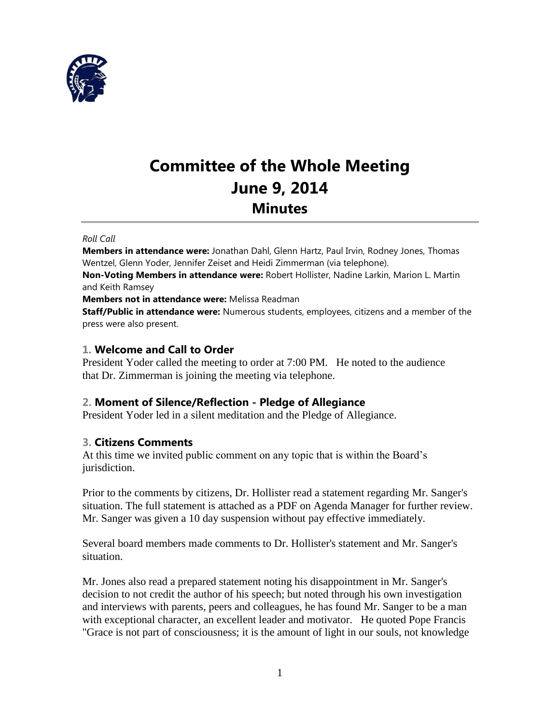

# **Committee of the Whole Meeting June 9, 2014 Minutes**

#### *Roll Call*

**Members in attendance were:** Jonathan Dahl, Glenn Hartz, Paul Irvin, Rodney Jones, Thomas Wentzel, Glenn Yoder, Jennifer Zeiset and Heidi Zimmerman (via telephone).

**Non-Voting Members in attendance were:** Robert Hollister, Nadine Larkin, Marion L. Martin and Keith Ramsey

**Members not in attendance were:** Melissa Readman

**Staff/Public in attendance were:** Numerous students, employees, citizens and a member of the press were also present.

## **1. Welcome and Call to Order**

President Yoder called the meeting to order at 7:00 PM. He noted to the audience that Dr. Zimmerman is joining the meeting via telephone.

## **2. Moment of Silence/Reflection - Pledge of Allegiance**

President Yoder led in a silent meditation and the Pledge of Allegiance.

## **3. Citizens Comments**

At this time we invited public comment on any topic that is within the Board's jurisdiction.

Prior to the comments by citizens, Dr. Hollister read a statement regarding Mr. Sanger's situation. The full statement is attached as a PDF on Agenda Manager for further review. Mr. Sanger was given a 10 day suspension without pay effective immediately.

Several board members made comments to Dr. Hollister's statement and Mr. Sanger's situation.

Mr. Jones also read a prepared statement noting his disappointment in Mr. Sanger's decision to not credit the author of his speech; but noted through his own investigation and interviews with parents, peers and colleagues, he has found Mr. Sanger to be a man with exceptional character, an excellent leader and motivator. He quoted Pope Francis "Grace is not part of consciousness; it is the amount of light in our souls, not knowledge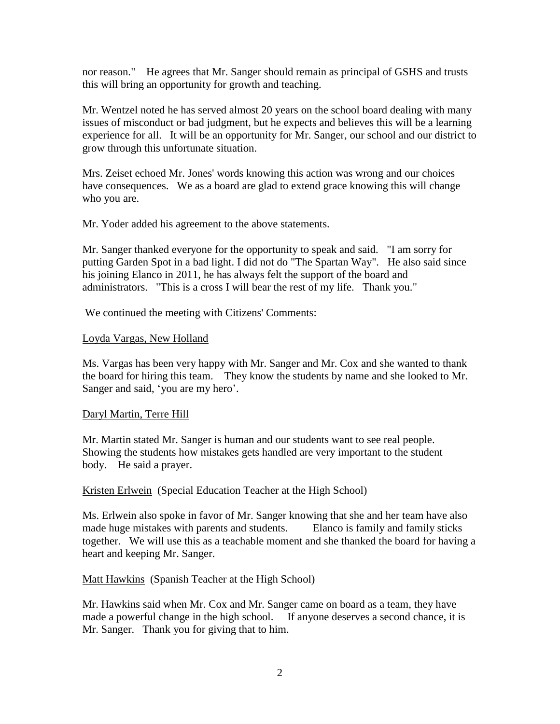nor reason." He agrees that Mr. Sanger should remain as principal of GSHS and trusts this will bring an opportunity for growth and teaching.

Mr. Wentzel noted he has served almost 20 years on the school board dealing with many issues of misconduct or bad judgment, but he expects and believes this will be a learning experience for all. It will be an opportunity for Mr. Sanger, our school and our district to grow through this unfortunate situation.

Mrs. Zeiset echoed Mr. Jones' words knowing this action was wrong and our choices have consequences. We as a board are glad to extend grace knowing this will change who you are.

Mr. Yoder added his agreement to the above statements.

Mr. Sanger thanked everyone for the opportunity to speak and said. "I am sorry for putting Garden Spot in a bad light. I did not do "The Spartan Way". He also said since his joining Elanco in 2011, he has always felt the support of the board and administrators. "This is a cross I will bear the rest of my life. Thank you."

We continued the meeting with Citizens' Comments:

## Loyda Vargas, New Holland

Ms. Vargas has been very happy with Mr. Sanger and Mr. Cox and she wanted to thank the board for hiring this team. They know the students by name and she looked to Mr. Sanger and said, 'you are my hero'.

## Daryl Martin, Terre Hill

Mr. Martin stated Mr. Sanger is human and our students want to see real people. Showing the students how mistakes gets handled are very important to the student body. He said a prayer.

Kristen Erlwein (Special Education Teacher at the High School)

Ms. Erlwein also spoke in favor of Mr. Sanger knowing that she and her team have also made huge mistakes with parents and students. Elanco is family and family sticks together. We will use this as a teachable moment and she thanked the board for having a heart and keeping Mr. Sanger.

Matt Hawkins (Spanish Teacher at the High School)

Mr. Hawkins said when Mr. Cox and Mr. Sanger came on board as a team, they have made a powerful change in the high school. If anyone deserves a second chance, it is Mr. Sanger. Thank you for giving that to him.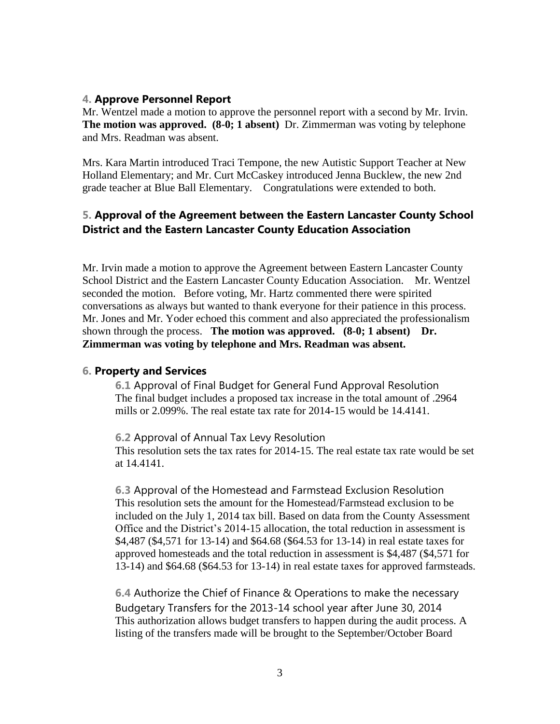#### **4. Approve Personnel Report**

Mr. Wentzel made a motion to approve the personnel report with a second by Mr. Irvin. **The motion was approved. (8-0; 1 absent)** Dr. Zimmerman was voting by telephone and Mrs. Readman was absent.

Mrs. Kara Martin introduced Traci Tempone, the new Autistic Support Teacher at New Holland Elementary; and Mr. Curt McCaskey introduced Jenna Bucklew, the new 2nd grade teacher at Blue Ball Elementary. Congratulations were extended to both.

## **5. Approval of the Agreement between the Eastern Lancaster County School District and the Eastern Lancaster County Education Association**

Mr. Irvin made a motion to approve the Agreement between Eastern Lancaster County School District and the Eastern Lancaster County Education Association. Mr. Wentzel seconded the motion. Before voting, Mr. Hartz commented there were spirited conversations as always but wanted to thank everyone for their patience in this process. Mr. Jones and Mr. Yoder echoed this comment and also appreciated the professionalism shown through the process. **The motion was approved.** (8-0; 1 absent) Dr. **Zimmerman was voting by telephone and Mrs. Readman was absent.**

#### **6. Property and Services**

**6.1** Approval of Final Budget for General Fund Approval Resolution The final budget includes a proposed tax increase in the total amount of .2964 mills or 2.099%. The real estate tax rate for 2014-15 would be 14.4141.

**6.2** Approval of Annual Tax Levy Resolution This resolution sets the tax rates for 2014-15. The real estate tax rate would be set at 14.4141.

**6.3** Approval of the Homestead and Farmstead Exclusion Resolution This resolution sets the amount for the Homestead/Farmstead exclusion to be included on the July 1, 2014 tax bill. Based on data from the County Assessment Office and the District's 2014-15 allocation, the total reduction in assessment is \$4,487 (\$4,571 for 13-14) and \$64.68 (\$64.53 for 13-14) in real estate taxes for approved homesteads and the total reduction in assessment is \$4,487 (\$4,571 for 13-14) and \$64.68 (\$64.53 for 13-14) in real estate taxes for approved farmsteads.

**6.4** Authorize the Chief of Finance & Operations to make the necessary Budgetary Transfers for the 2013-14 school year after June 30, 2014 This authorization allows budget transfers to happen during the audit process. A listing of the transfers made will be brought to the September/October Board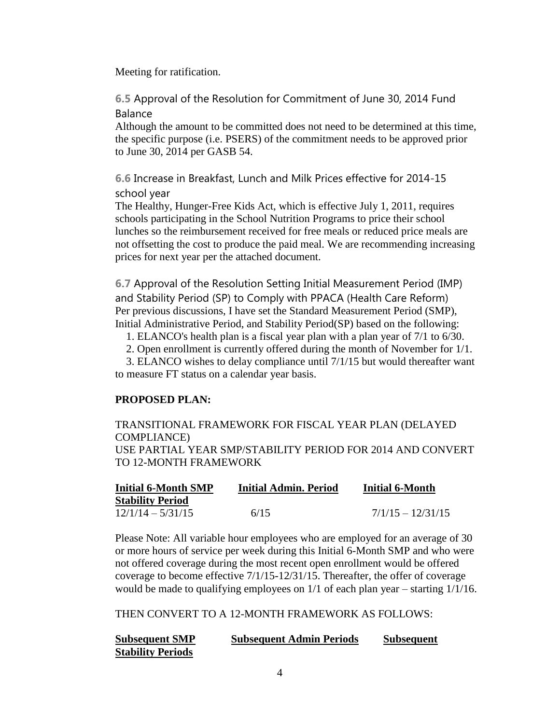Meeting for ratification.

**6.5** Approval of the Resolution for Commitment of June 30, 2014 Fund Balance

Although the amount to be committed does not need to be determined at this time, the specific purpose (i.e. PSERS) of the commitment needs to be approved prior to June 30, 2014 per GASB 54.

**6.6** Increase in Breakfast, Lunch and Milk Prices effective for 2014-15 school year

The Healthy, Hunger-Free Kids Act, which is effective July 1, 2011, requires schools participating in the School Nutrition Programs to price their school lunches so the reimbursement received for free meals or reduced price meals are not offsetting the cost to produce the paid meal. We are recommending increasing prices for next year per the attached document.

**6.7** Approval of the Resolution Setting Initial Measurement Period (IMP) and Stability Period (SP) to Comply with PPACA (Health Care Reform) Per previous discussions, I have set the Standard Measurement Period (SMP), Initial Administrative Period, and Stability Period(SP) based on the following:

1. ELANCO's health plan is a fiscal year plan with a plan year of 7/1 to 6/30.

2. Open enrollment is currently offered during the month of November for 1/1.

 3. ELANCO wishes to delay compliance until 7/1/15 but would thereafter want to measure FT status on a calendar year basis.

#### **PROPOSED PLAN:**

TRANSITIONAL FRAMEWORK FOR FISCAL YEAR PLAN (DELAYED COMPLIANCE) USE PARTIAL YEAR SMP/STABILITY PERIOD FOR 2014 AND CONVERT TO 12-MONTH FRAMEWORK

| <b>Initial 6-Month SMP</b> | <b>Initial Admin, Period</b> | <b>Initial 6-Month</b> |
|----------------------------|------------------------------|------------------------|
| <b>Stability Period</b>    |                              |                        |
| $12/1/14 - 5/31/15$        | 6/15                         | $7/1/15 - 12/31/15$    |

Please Note: All variable hour employees who are employed for an average of 30 or more hours of service per week during this Initial 6-Month SMP and who were not offered coverage during the most recent open enrollment would be offered coverage to become effective 7/1/15-12/31/15. Thereafter, the offer of coverage would be made to qualifying employees on 1/1 of each plan year – starting 1/1/16.

THEN CONVERT TO A 12-MONTH FRAMEWORK AS FOLLOWS:

| <b>Subsequent SMP</b>    | <b>Subsequent Admin Periods</b> | <b>Subsequent</b> |
|--------------------------|---------------------------------|-------------------|
| <b>Stability Periods</b> |                                 |                   |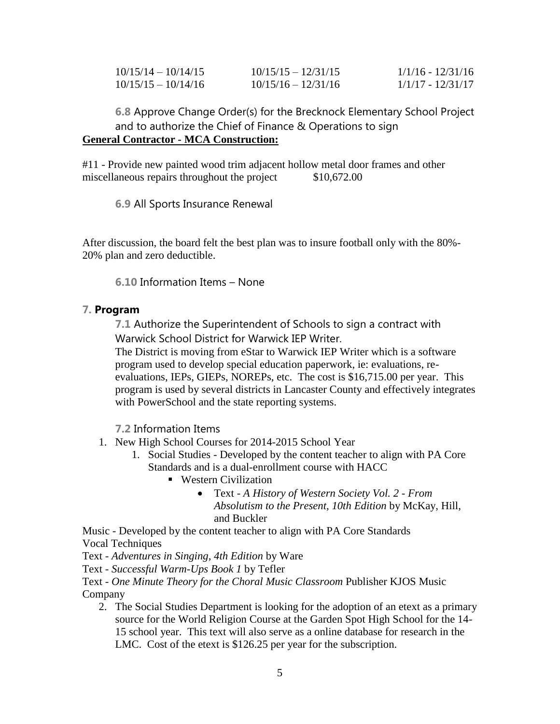| $10/15/14 - 10/14/15$ | $10/15/15 - 12/31/15$ | $1/1/16 - 12/31/16$ |
|-----------------------|-----------------------|---------------------|
| $10/15/15 - 10/14/16$ | $10/15/16 - 12/31/16$ | 1/1/17 - 12/31/17   |

**6.8** Approve Change Order(s) for the Brecknock Elementary School Project and to authorize the Chief of Finance & Operations to sign **General Contractor - MCA Construction:**

#11 - Provide new painted wood trim adjacent hollow metal door frames and other miscellaneous repairs throughout the project \$10,672.00

**6.9** All Sports Insurance Renewal

After discussion, the board felt the best plan was to insure football only with the 80%- 20% plan and zero deductible.

**6.10** Information Items – None

## **7. Program**

**7.1** Authorize the Superintendent of Schools to sign a contract with Warwick School District for Warwick IEP Writer.

The District is moving from eStar to Warwick IEP Writer which is a software program used to develop special education paperwork, ie: evaluations, reevaluations, IEPs, GIEPs, NOREPs, etc. The cost is \$16,715.00 per year. This program is used by several districts in Lancaster County and effectively integrates with PowerSchool and the state reporting systems.

**7.2** Information Items

- 1. New High School Courses for 2014-2015 School Year
	- 1. Social Studies Developed by the content teacher to align with PA Core Standards and is a dual-enrollment course with HACC
		- Western Civilization
			- Text *A History of Western Society Vol. 2 - From Absolutism to the Present, 10th Edition* by McKay, Hill, and Buckler

Music - Developed by the content teacher to align with PA Core Standards Vocal Techniques

Text - *Adventures in Singing, 4th Edition* by Ware

Text - *Successful Warm-Ups Book 1* by Tefler

Text - *One Minute Theory for the Choral Music Classroom* Publisher KJOS Music Company

2. The Social Studies Department is looking for the adoption of an etext as a primary source for the World Religion Course at the Garden Spot High School for the 14- 15 school year. This text will also serve as a online database for research in the LMC. Cost of the etext is \$126.25 per year for the subscription.